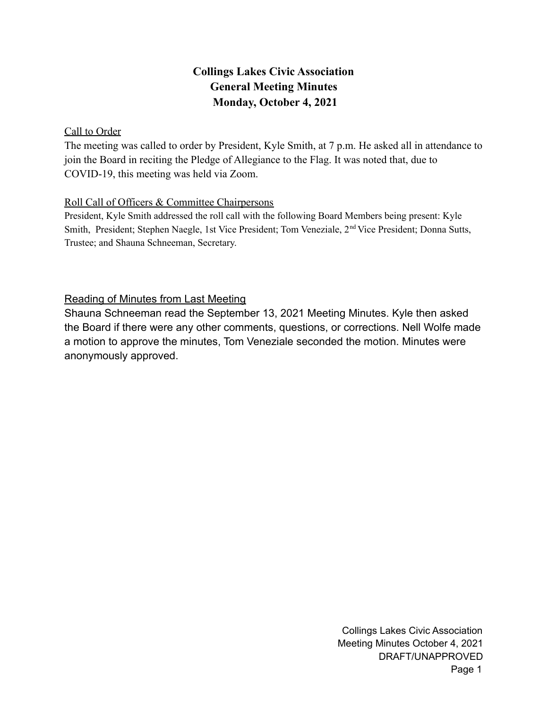# **Collings Lakes Civic Association General Meeting Minutes Monday, October 4, 2021**

# Call to Order

The meeting was called to order by President, Kyle Smith, at 7 p.m. He asked all in attendance to join the Board in reciting the Pledge of Allegiance to the Flag. It was noted that, due to COVID-19, this meeting was held via Zoom.

# Roll Call of Officers & Committee Chairpersons

President, Kyle Smith addressed the roll call with the following Board Members being present: Kyle Smith, President; Stephen Naegle, 1st Vice President; Tom Veneziale, 2<sup>nd</sup> Vice President; Donna Sutts, Trustee; and Shauna Schneeman, Secretary.

# Reading of Minutes from Last Meeting

Shauna Schneeman read the September 13, 2021 Meeting Minutes. Kyle then asked the Board if there were any other comments, questions, or corrections. Nell Wolfe made a motion to approve the minutes, Tom Veneziale seconded the motion. Minutes were anonymously approved.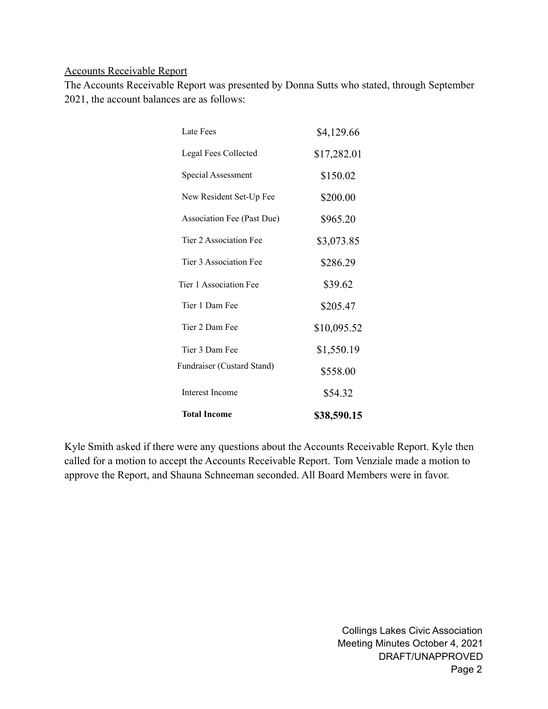#### Accounts Receivable Report

The Accounts Receivable Report was presented by Donna Sutts who stated, through September 2021, the account balances are as follows:

| <b>Total Income</b>        | \$38,590.15 |
|----------------------------|-------------|
| <b>Interest Income</b>     | \$54.32     |
| Fundraiser (Custard Stand) | \$558.00    |
| Tier 3 Dam Fee             | \$1,550.19  |
| Tier 2 Dam Fee             | \$10,095.52 |
| Tier 1 Dam Fee             | \$205.47    |
| Tier 1 Association Fee     | \$39.62     |
| Tier 3 Association Fee     | \$286.29    |
| Tier 2 Association Fee     | \$3,073.85  |
| Association Fee (Past Due) | \$965.20    |
| New Resident Set-Up Fee    | \$200.00    |
| Special Assessment         | \$150.02    |
| Legal Fees Collected       | \$17,282.01 |
| Late Fees                  | \$4,129.66  |

Kyle Smith asked if there were any questions about the Accounts Receivable Report. Kyle then called for a motion to accept the Accounts Receivable Report. Tom Venziale made a motion to approve the Report, and Shauna Schneeman seconded. All Board Members were in favor.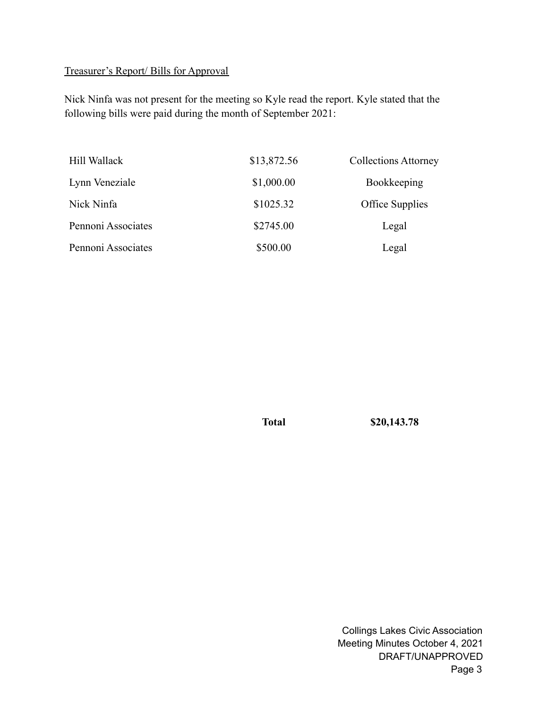# Treasurer's Report/ Bills for Approval

Nick Ninfa was not present for the meeting so Kyle read the report. Kyle stated that the following bills were paid during the month of September 2021:

| Hill Wallack       | \$13,872.56 | <b>Collections Attorney</b> |
|--------------------|-------------|-----------------------------|
| Lynn Veneziale     | \$1,000.00  | Bookkeeping                 |
| Nick Ninfa         | \$1025.32   | Office Supplies             |
| Pennoni Associates | \$2745.00   | Legal                       |
| Pennoni Associates | \$500.00    | Legal                       |

**Total \$20,143.78**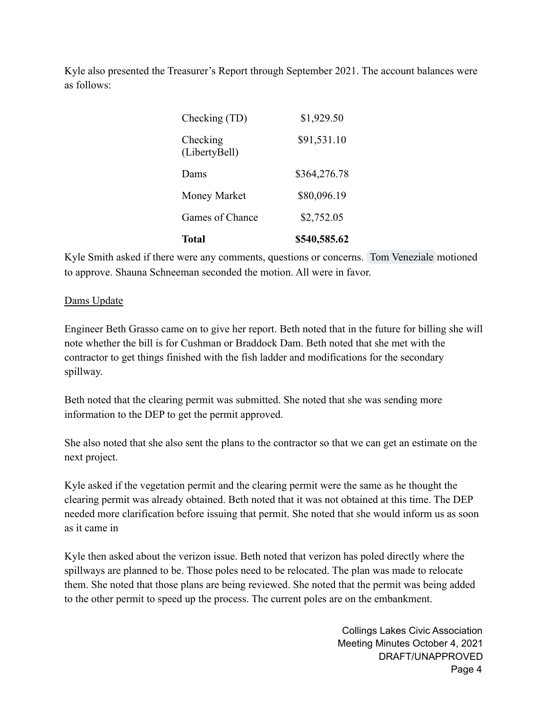Kyle also presented the Treasurer's Report through September 2021. The account balances were as follows:

| <b>Total</b>              | \$540,585.62 |
|---------------------------|--------------|
| Games of Chance           | \$2,752.05   |
| Money Market              | \$80,096.19  |
| Dams                      | \$364,276.78 |
| Checking<br>(LibertyBell) | \$91,531.10  |
| Checking (TD)             | \$1,929.50   |

Kyle Smith asked if there were any comments, questions or concerns. [Tom Veneziale](mailto:tveneziale@collingslakes.org) motioned to approve. Shauna Schneeman seconded the motion. All were in favor.

#### Dams Update

Engineer Beth Grasso came on to give her report. Beth noted that in the future for billing she will note whether the bill is for Cushman or Braddock Dam. Beth noted that she met with the contractor to get things finished with the fish ladder and modifications for the secondary spillway.

Beth noted that the clearing permit was submitted. She noted that she was sending more information to the DEP to get the permit approved.

She also noted that she also sent the plans to the contractor so that we can get an estimate on the next project.

Kyle asked if the vegetation permit and the clearing permit were the same as he thought the clearing permit was already obtained. Beth noted that it was not obtained at this time. The DEP needed more clarification before issuing that permit. She noted that she would inform us as soon as it came in

Kyle then asked about the verizon issue. Beth noted that verizon has poled directly where the spillways are planned to be. Those poles need to be relocated. The plan was made to relocate them. She noted that those plans are being reviewed. She noted that the permit was being added to the other permit to speed up the process. The current poles are on the embankment.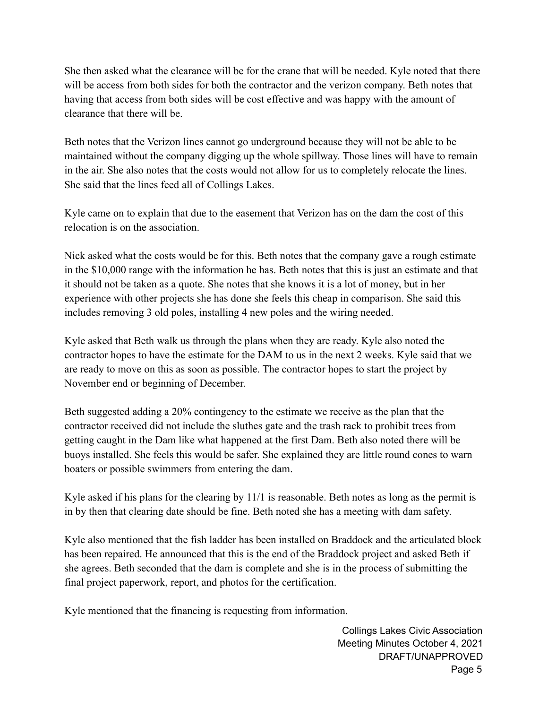She then asked what the clearance will be for the crane that will be needed. Kyle noted that there will be access from both sides for both the contractor and the verizon company. Beth notes that having that access from both sides will be cost effective and was happy with the amount of clearance that there will be.

Beth notes that the Verizon lines cannot go underground because they will not be able to be maintained without the company digging up the whole spillway. Those lines will have to remain in the air. She also notes that the costs would not allow for us to completely relocate the lines. She said that the lines feed all of Collings Lakes.

Kyle came on to explain that due to the easement that Verizon has on the dam the cost of this relocation is on the association.

Nick asked what the costs would be for this. Beth notes that the company gave a rough estimate in the \$10,000 range with the information he has. Beth notes that this is just an estimate and that it should not be taken as a quote. She notes that she knows it is a lot of money, but in her experience with other projects she has done she feels this cheap in comparison. She said this includes removing 3 old poles, installing 4 new poles and the wiring needed.

Kyle asked that Beth walk us through the plans when they are ready. Kyle also noted the contractor hopes to have the estimate for the DAM to us in the next 2 weeks. Kyle said that we are ready to move on this as soon as possible. The contractor hopes to start the project by November end or beginning of December.

Beth suggested adding a 20% contingency to the estimate we receive as the plan that the contractor received did not include the sluthes gate and the trash rack to prohibit trees from getting caught in the Dam like what happened at the first Dam. Beth also noted there will be buoys installed. She feels this would be safer. She explained they are little round cones to warn boaters or possible swimmers from entering the dam.

Kyle asked if his plans for the clearing by 11/1 is reasonable. Beth notes as long as the permit is in by then that clearing date should be fine. Beth noted she has a meeting with dam safety.

Kyle also mentioned that the fish ladder has been installed on Braddock and the articulated block has been repaired. He announced that this is the end of the Braddock project and asked Beth if she agrees. Beth seconded that the dam is complete and she is in the process of submitting the final project paperwork, report, and photos for the certification.

Kyle mentioned that the financing is requesting from information.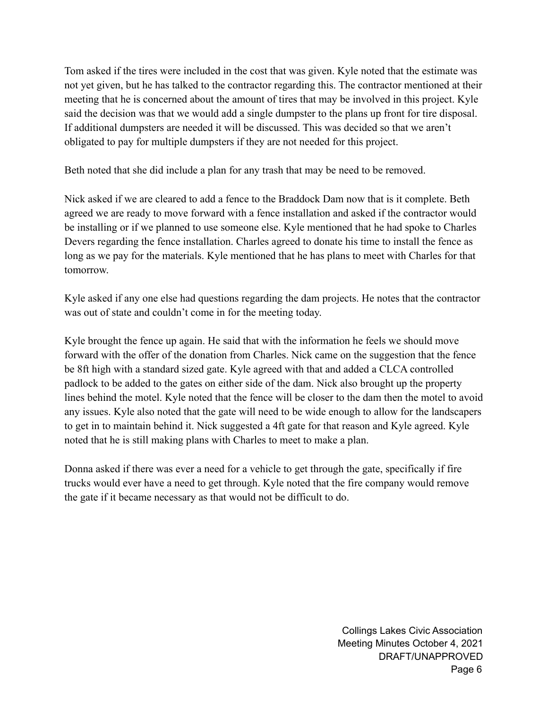Tom asked if the tires were included in the cost that was given. Kyle noted that the estimate was not yet given, but he has talked to the contractor regarding this. The contractor mentioned at their meeting that he is concerned about the amount of tires that may be involved in this project. Kyle said the decision was that we would add a single dumpster to the plans up front for tire disposal. If additional dumpsters are needed it will be discussed. This was decided so that we aren't obligated to pay for multiple dumpsters if they are not needed for this project.

Beth noted that she did include a plan for any trash that may be need to be removed.

Nick asked if we are cleared to add a fence to the Braddock Dam now that is it complete. Beth agreed we are ready to move forward with a fence installation and asked if the contractor would be installing or if we planned to use someone else. Kyle mentioned that he had spoke to Charles Devers regarding the fence installation. Charles agreed to donate his time to install the fence as long as we pay for the materials. Kyle mentioned that he has plans to meet with Charles for that tomorrow.

Kyle asked if any one else had questions regarding the dam projects. He notes that the contractor was out of state and couldn't come in for the meeting today.

Kyle brought the fence up again. He said that with the information he feels we should move forward with the offer of the donation from Charles. Nick came on the suggestion that the fence be 8ft high with a standard sized gate. Kyle agreed with that and added a CLCA controlled padlock to be added to the gates on either side of the dam. Nick also brought up the property lines behind the motel. Kyle noted that the fence will be closer to the dam then the motel to avoid any issues. Kyle also noted that the gate will need to be wide enough to allow for the landscapers to get in to maintain behind it. Nick suggested a 4ft gate for that reason and Kyle agreed. Kyle noted that he is still making plans with Charles to meet to make a plan.

Donna asked if there was ever a need for a vehicle to get through the gate, specifically if fire trucks would ever have a need to get through. Kyle noted that the fire company would remove the gate if it became necessary as that would not be difficult to do.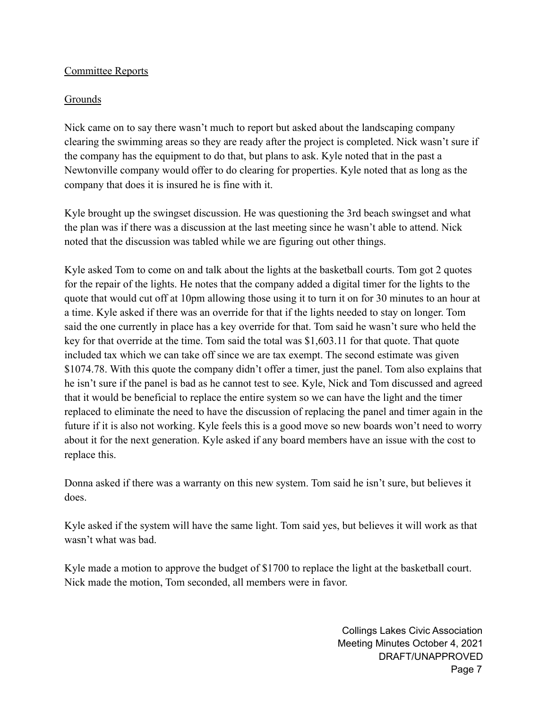#### Committee Reports

# Grounds

Nick came on to say there wasn't much to report but asked about the landscaping company clearing the swimming areas so they are ready after the project is completed. Nick wasn't sure if the company has the equipment to do that, but plans to ask. Kyle noted that in the past a Newtonville company would offer to do clearing for properties. Kyle noted that as long as the company that does it is insured he is fine with it.

Kyle brought up the swingset discussion. He was questioning the 3rd beach swingset and what the plan was if there was a discussion at the last meeting since he wasn't able to attend. Nick noted that the discussion was tabled while we are figuring out other things.

Kyle asked Tom to come on and talk about the lights at the basketball courts. Tom got 2 quotes for the repair of the lights. He notes that the company added a digital timer for the lights to the quote that would cut off at 10pm allowing those using it to turn it on for 30 minutes to an hour at a time. Kyle asked if there was an override for that if the lights needed to stay on longer. Tom said the one currently in place has a key override for that. Tom said he wasn't sure who held the key for that override at the time. Tom said the total was \$1,603.11 for that quote. That quote included tax which we can take off since we are tax exempt. The second estimate was given \$1074.78. With this quote the company didn't offer a timer, just the panel. Tom also explains that he isn't sure if the panel is bad as he cannot test to see. Kyle, Nick and Tom discussed and agreed that it would be beneficial to replace the entire system so we can have the light and the timer replaced to eliminate the need to have the discussion of replacing the panel and timer again in the future if it is also not working. Kyle feels this is a good move so new boards won't need to worry about it for the next generation. Kyle asked if any board members have an issue with the cost to replace this.

Donna asked if there was a warranty on this new system. Tom said he isn't sure, but believes it does.

Kyle asked if the system will have the same light. Tom said yes, but believes it will work as that wasn't what was bad.

Kyle made a motion to approve the budget of \$1700 to replace the light at the basketball court. Nick made the motion, Tom seconded, all members were in favor.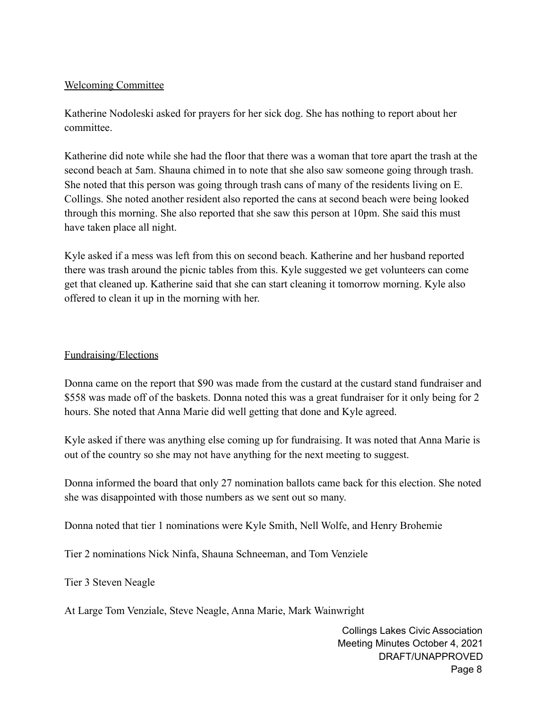#### Welcoming Committee

Katherine Nodoleski asked for prayers for her sick dog. She has nothing to report about her committee.

Katherine did note while she had the floor that there was a woman that tore apart the trash at the second beach at 5am. Shauna chimed in to note that she also saw someone going through trash. She noted that this person was going through trash cans of many of the residents living on E. Collings. She noted another resident also reported the cans at second beach were being looked through this morning. She also reported that she saw this person at 10pm. She said this must have taken place all night.

Kyle asked if a mess was left from this on second beach. Katherine and her husband reported there was trash around the picnic tables from this. Kyle suggested we get volunteers can come get that cleaned up. Katherine said that she can start cleaning it tomorrow morning. Kyle also offered to clean it up in the morning with her.

#### Fundraising/Elections

Donna came on the report that \$90 was made from the custard at the custard stand fundraiser and \$558 was made off of the baskets. Donna noted this was a great fundraiser for it only being for 2 hours. She noted that Anna Marie did well getting that done and Kyle agreed.

Kyle asked if there was anything else coming up for fundraising. It was noted that Anna Marie is out of the country so she may not have anything for the next meeting to suggest.

Donna informed the board that only 27 nomination ballots came back for this election. She noted she was disappointed with those numbers as we sent out so many.

Donna noted that tier 1 nominations were Kyle Smith, Nell Wolfe, and Henry Brohemie

Tier 2 nominations Nick Ninfa, Shauna Schneeman, and Tom Venziele

Tier 3 Steven Neagle

At Large Tom Venziale, Steve Neagle, Anna Marie, Mark Wainwright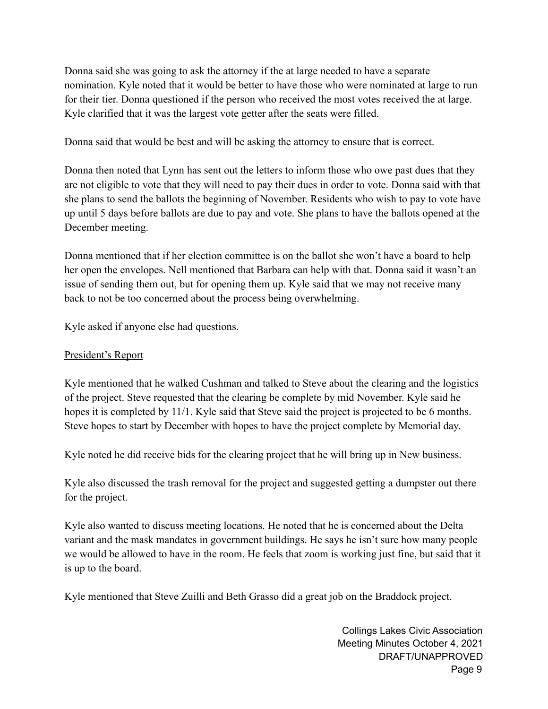Donna said she was going to ask the attorney if the at large needed to have a separate nomination. Kyle noted that it would be better to have those who were nominated at large to run for their tier. Donna questioned if the person who received the most votes received the at large. Kyle clarified that it was the largest vote getter after the seats were filled.

Donna said that would be best and will be asking the attorney to ensure that is correct.

Donna then noted that Lynn has sent out the letters to inform those who owe past dues that they are not eligible to vote that they will need to pay their dues in order to vote. Donna said with that she plans to send the ballots the beginning of November. Residents who wish to pay to vote have up until 5 days before ballots are due to pay and vote. She plans to have the ballots opened at the December meeting.

Donna mentioned that if her election committee is on the ballot she won't have a board to help her open the envelopes. Nell mentioned that Barbara can help with that. Donna said it wasn't an issue of sending them out, but for opening them up. Kyle said that we may not receive many back to not be too concerned about the process being overwhelming.

Kyle asked if anyone else had questions.

# President's Report

Kyle mentioned that he walked Cushman and talked to Steve about the clearing and the logistics of the project. Steve requested that the clearing be complete by mid November. Kyle said he hopes it is completed by 11/1. Kyle said that Steve said the project is projected to be 6 months. Steve hopes to start by December with hopes to have the project complete by Memorial day.

Kyle noted he did receive bids for the clearing project that he will bring up in New business.

Kyle also discussed the trash removal for the project and suggested getting a dumpster out there for the project.

Kyle also wanted to discuss meeting locations. He noted that he is concerned about the Delta variant and the mask mandates in government buildings. He says he isn't sure how many people we would be allowed to have in the room. He feels that zoom is working just fine, but said that it is up to the board.

Kyle mentioned that Steve Zuilli and Beth Grasso did a great job on the Braddock project.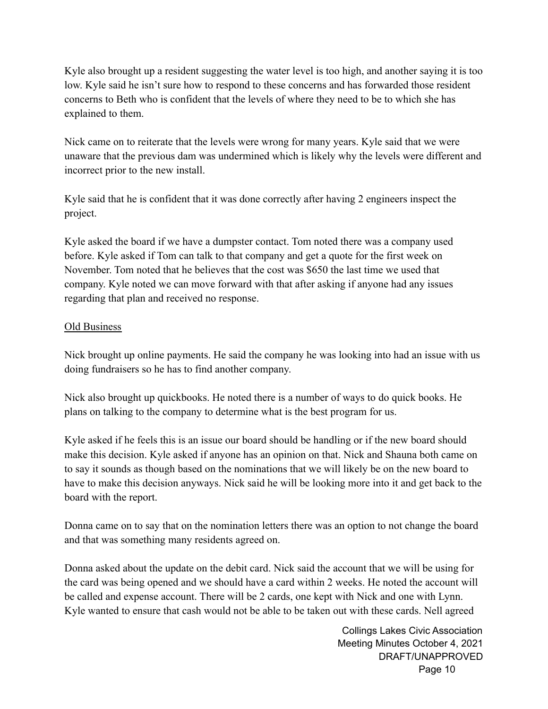Kyle also brought up a resident suggesting the water level is too high, and another saying it is too low. Kyle said he isn't sure how to respond to these concerns and has forwarded those resident concerns to Beth who is confident that the levels of where they need to be to which she has explained to them.

Nick came on to reiterate that the levels were wrong for many years. Kyle said that we were unaware that the previous dam was undermined which is likely why the levels were different and incorrect prior to the new install.

Kyle said that he is confident that it was done correctly after having 2 engineers inspect the project.

Kyle asked the board if we have a dumpster contact. Tom noted there was a company used before. Kyle asked if Tom can talk to that company and get a quote for the first week on November. Tom noted that he believes that the cost was \$650 the last time we used that company. Kyle noted we can move forward with that after asking if anyone had any issues regarding that plan and received no response.

# **Old Business**

Nick brought up online payments. He said the company he was looking into had an issue with us doing fundraisers so he has to find another company.

Nick also brought up quickbooks. He noted there is a number of ways to do quick books. He plans on talking to the company to determine what is the best program for us.

Kyle asked if he feels this is an issue our board should be handling or if the new board should make this decision. Kyle asked if anyone has an opinion on that. Nick and Shauna both came on to say it sounds as though based on the nominations that we will likely be on the new board to have to make this decision anyways. Nick said he will be looking more into it and get back to the board with the report.

Donna came on to say that on the nomination letters there was an option to not change the board and that was something many residents agreed on.

Donna asked about the update on the debit card. Nick said the account that we will be using for the card was being opened and we should have a card within 2 weeks. He noted the account will be called and expense account. There will be 2 cards, one kept with Nick and one with Lynn. Kyle wanted to ensure that cash would not be able to be taken out with these cards. Nell agreed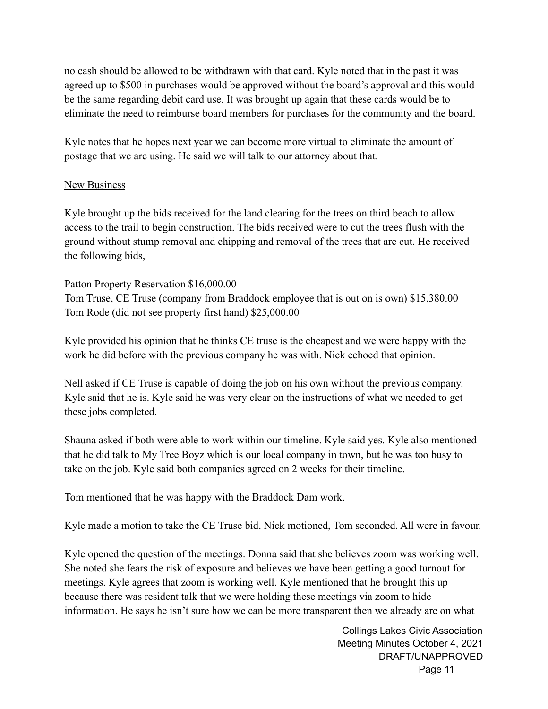no cash should be allowed to be withdrawn with that card. Kyle noted that in the past it was agreed up to \$500 in purchases would be approved without the board's approval and this would be the same regarding debit card use. It was brought up again that these cards would be to eliminate the need to reimburse board members for purchases for the community and the board.

Kyle notes that he hopes next year we can become more virtual to eliminate the amount of postage that we are using. He said we will talk to our attorney about that.

#### **New Business**

Kyle brought up the bids received for the land clearing for the trees on third beach to allow access to the trail to begin construction. The bids received were to cut the trees flush with the ground without stump removal and chipping and removal of the trees that are cut. He received the following bids,

Patton Property Reservation \$16,000.00 Tom Truse, CE Truse (company from Braddock employee that is out on is own) \$15,380.00 Tom Rode (did not see property first hand) \$25,000.00

Kyle provided his opinion that he thinks CE truse is the cheapest and we were happy with the work he did before with the previous company he was with. Nick echoed that opinion.

Nell asked if CE Truse is capable of doing the job on his own without the previous company. Kyle said that he is. Kyle said he was very clear on the instructions of what we needed to get these jobs completed.

Shauna asked if both were able to work within our timeline. Kyle said yes. Kyle also mentioned that he did talk to My Tree Boyz which is our local company in town, but he was too busy to take on the job. Kyle said both companies agreed on 2 weeks for their timeline.

Tom mentioned that he was happy with the Braddock Dam work.

Kyle made a motion to take the CE Truse bid. Nick motioned, Tom seconded. All were in favour.

Kyle opened the question of the meetings. Donna said that she believes zoom was working well. She noted she fears the risk of exposure and believes we have been getting a good turnout for meetings. Kyle agrees that zoom is working well. Kyle mentioned that he brought this up because there was resident talk that we were holding these meetings via zoom to hide information. He says he isn't sure how we can be more transparent then we already are on what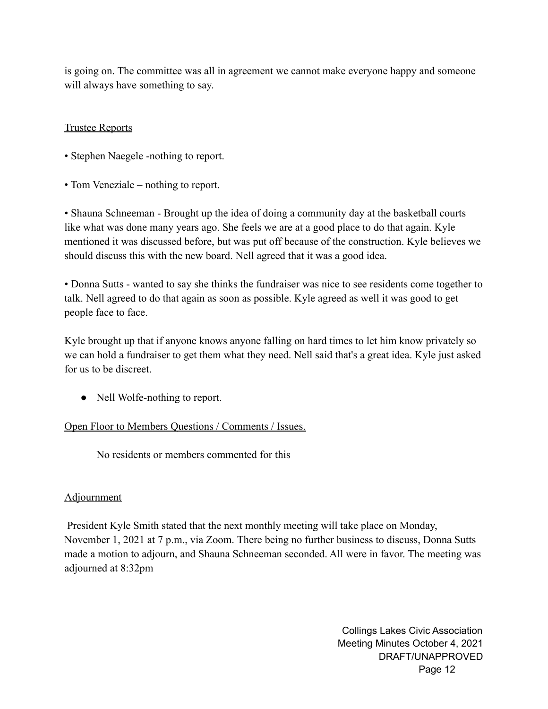is going on. The committee was all in agreement we cannot make everyone happy and someone will always have something to say.

# Trustee Reports

- Stephen Naegele -nothing to report.
- Tom Veneziale nothing to report.

• Shauna Schneeman - Brought up the idea of doing a community day at the basketball courts like what was done many years ago. She feels we are at a good place to do that again. Kyle mentioned it was discussed before, but was put off because of the construction. Kyle believes we should discuss this with the new board. Nell agreed that it was a good idea.

• Donna Sutts - wanted to say she thinks the fundraiser was nice to see residents come together to talk. Nell agreed to do that again as soon as possible. Kyle agreed as well it was good to get people face to face.

Kyle brought up that if anyone knows anyone falling on hard times to let him know privately so we can hold a fundraiser to get them what they need. Nell said that's a great idea. Kyle just asked for us to be discreet.

• Nell Wolfe-nothing to report.

#### Open Floor to Members Questions / Comments / Issues.

No residents or members commented for this

#### **Adjournment**

President Kyle Smith stated that the next monthly meeting will take place on Monday, November 1, 2021 at 7 p.m., via Zoom. There being no further business to discuss, Donna Sutts made a motion to adjourn, and Shauna Schneeman seconded. All were in favor. The meeting was adjourned at 8:32pm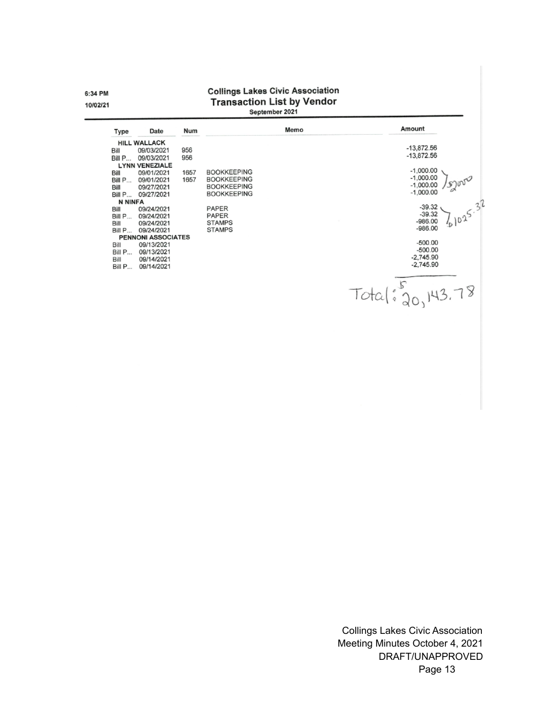6:34 PM 10/02/21

# **Collings Lakes Civic Association** Transaction List by Vendor

| <b>HILL WALLACK</b><br>09/03/2021<br>09/03/2021<br><b>LYNN VENEZIALE</b> | 956<br>956                             |                           |              |              |                                                                                                                                         |
|--------------------------------------------------------------------------|----------------------------------------|---------------------------|--------------|--------------|-----------------------------------------------------------------------------------------------------------------------------------------|
|                                                                          |                                        |                           |              |              |                                                                                                                                         |
|                                                                          |                                        |                           |              | $-13,872.56$ |                                                                                                                                         |
|                                                                          |                                        |                           |              | $-13,872.56$ |                                                                                                                                         |
|                                                                          |                                        |                           |              |              |                                                                                                                                         |
| 09/01/2021                                                               | 1657                                   | <b>BOOKKEEPING</b>        |              | $-1,000.00$  |                                                                                                                                         |
| 09/01/2021                                                               | 1657                                   | <b>BOOKKEEPING</b>        |              |              |                                                                                                                                         |
|                                                                          |                                        | <b>BOOKKEEPING</b>        |              |              |                                                                                                                                         |
|                                                                          |                                        | <b>BOOKKEEPING</b>        |              |              |                                                                                                                                         |
| <b>N NINFA</b>                                                           |                                        |                           |              |              |                                                                                                                                         |
|                                                                          |                                        |                           |              | $-39.32$     |                                                                                                                                         |
| 09/24/2021                                                               |                                        | <b>PAPER</b>              |              |              |                                                                                                                                         |
| 09/24/2021                                                               |                                        | <b>STAMPS</b>             |              |              |                                                                                                                                         |
| 09/24/2021                                                               |                                        | <b>STAMPS</b>             |              |              |                                                                                                                                         |
|                                                                          |                                        |                           |              |              |                                                                                                                                         |
| 09/13/2021                                                               |                                        |                           |              |              |                                                                                                                                         |
| 09/13/2021                                                               |                                        |                           |              |              |                                                                                                                                         |
| 09/14/2021                                                               |                                        |                           |              |              |                                                                                                                                         |
| 09/14/2021                                                               |                                        |                           |              |              |                                                                                                                                         |
|                                                                          |                                        |                           |              |              |                                                                                                                                         |
|                                                                          |                                        |                           |              |              |                                                                                                                                         |
|                                                                          |                                        |                           |              |              |                                                                                                                                         |
|                                                                          |                                        |                           |              |              |                                                                                                                                         |
|                                                                          | 09/27/2021<br>09/27/2021<br>09/24/2021 | <b>PENNONI ASSOCIATES</b> | <b>PAPER</b> |              | $-1,000.00$<br>$-1,000.00$<br>$-1,000.00$<br>$-39.32$<br>$-986.00$<br>$-986.00$<br>$-500.00$<br>$-500.00$<br>$-2,745.90$<br>$-2,745.90$ |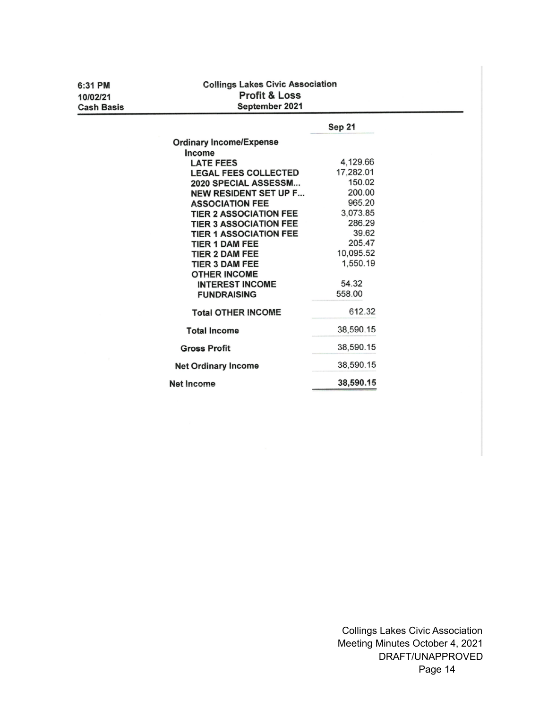| 6:31 PM           | <b>Collings Lakes Civic Association</b> |           |  |
|-------------------|-----------------------------------------|-----------|--|
| 10/02/21          | <b>Profit &amp; Loss</b>                |           |  |
| <b>Cash Basis</b> | September 2021                          |           |  |
|                   |                                         | Sep 21    |  |
|                   |                                         |           |  |
|                   | <b>Ordinary Income/Expense</b>          |           |  |
|                   | Income<br><b>LATE FEES</b>              | 4,129.66  |  |
|                   | <b>LEGAL FEES COLLECTED</b>             | 17,282.01 |  |
|                   | 2020 SPECIAL ASSESSM                    | 150.02    |  |
|                   | <b>NEW RESIDENT SET UP F</b>            | 200.00    |  |
|                   | <b>ASSOCIATION FEE</b>                  | 965.20    |  |
|                   | <b>TIER 2 ASSOCIATION FEE</b>           | 3,073.85  |  |
|                   | <b>TIER 3 ASSOCIATION FEE</b>           | 286.29    |  |
|                   | <b>TIER 1 ASSOCIATION FEE</b>           | 39.62     |  |
|                   | <b>TIER 1 DAM FEE</b>                   | 205.47    |  |
|                   | <b>TIER 2 DAM FEE</b>                   | 10,095.52 |  |
|                   | <b>TIER 3 DAM FEE</b>                   | 1,550.19  |  |
|                   | <b>OTHER INCOME</b>                     |           |  |
|                   | <b>INTEREST INCOME</b>                  | 54.32     |  |
|                   | <b>FUNDRAISING</b>                      | 558.00    |  |
|                   | <b>Total OTHER INCOME</b>               | 612.32    |  |
|                   | <b>Total Income</b>                     | 38,590.15 |  |
|                   | <b>Gross Profit</b>                     | 38,590.15 |  |
|                   | <b>Net Ordinary Income</b>              | 38,590.15 |  |
|                   | Net Income                              | 38,590.15 |  |